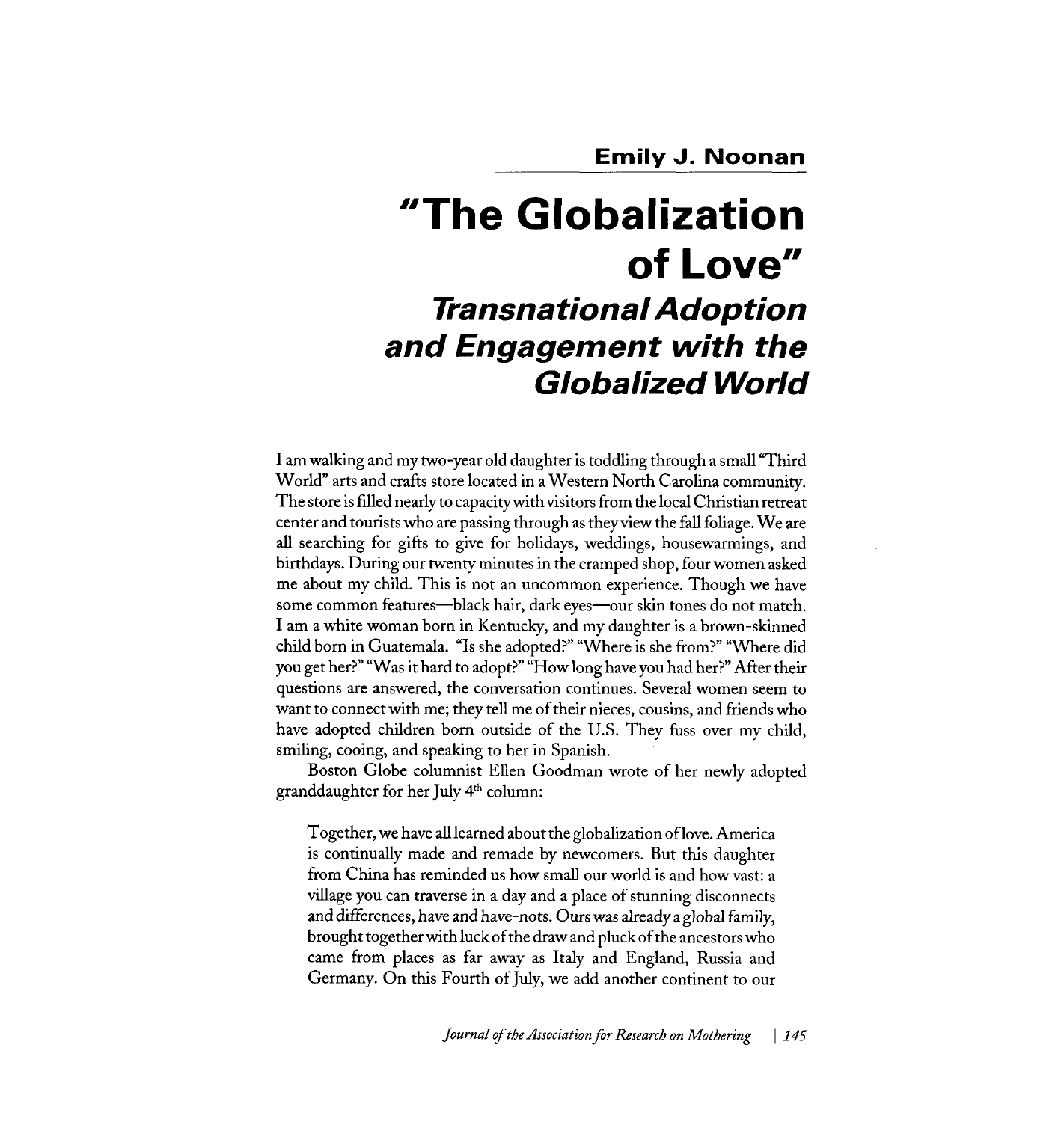# **"The Globalization of Love" Transnational Adoption and Engagement with the Globalized World**

I am walking and my two-year old daughter is toddling through a small "Third World" arts and crafts store located in a Western North Carolina community. The store is filled nearly to capacity with visitors from the local Christian retreat center and tourists who are passing through as they view the fall foliage. We are all searching for gifts to give for holidays, weddings, housewarmings, and birthdays. During our twenty minutes in the cramped shop, four women asked me about my child. This is not an uncommon experience. Though we have some common features-black hair, dark eyes-our skin tones do not match. I am a white woman born in Kentucky, and my daughter is a brown-skinned child born in Guatemala. "Is she adopted?" 'Where is she from?" 'Where did you get her?" 'Was it hard to adopt?" "How long have you had her?" After their questions are answered, the conversation continues. Several women seem to want to connect with me; they tell me of their nieces, cousins, and friends who have adopted children born outside of the U.S. They fuss over my child, smiling, cooing, and speaking to her in Spanish.

Boston Globe columnist Ellen Goodman wrote of her newly adopted granddaughter for her July **4'h** column:

Together, we have all learned about the globalization of love. America is continually made and remade by newcomers. But this daughter from China has reminded us how small our world is and how vast: a village you can traverse in a day and a place of stunning disconnects and differences, have and have-nots. Ours was already aglobal family, brought together with luck of the draw and pluck of the ancestors who came from places as far away as Italy and England, Russia and Germany. On this Fourth of July, we add another continent to our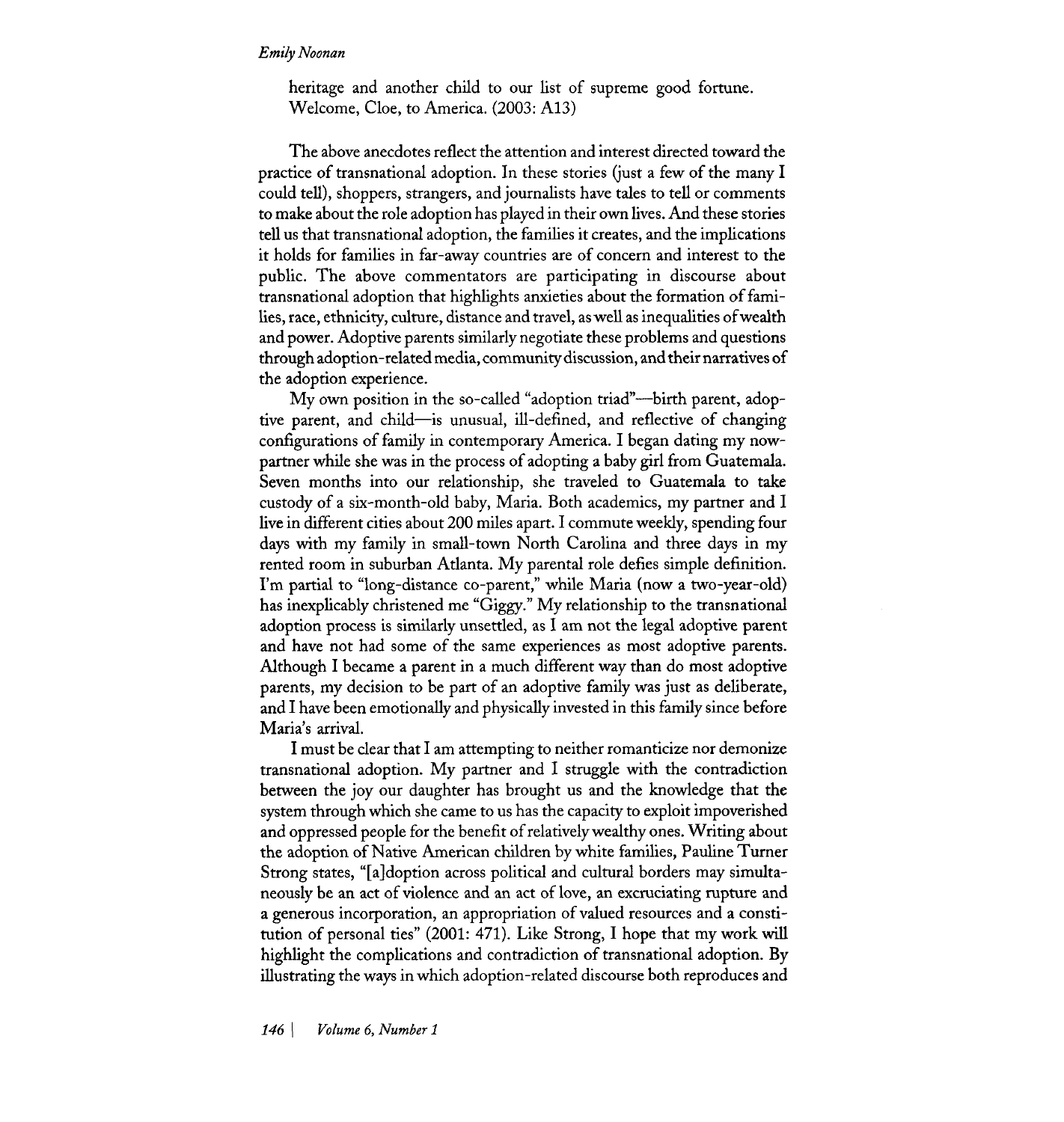heritage and another child to our list of supreme good fortune. Welcome, Cloe, to America. (2003: **A13)** 

The above anecdotes reflect the attention and interest directed toward the practice of transnational adoption. In these stories (just a few of the many 1 could tell), shoppers, strangers, and journalists have tales to tell or comments to make about the role adoption has played in their own lives. And these stories tell us that transnational adoption, the families it creates, and the implications it holds for families in far-away countries are of concern and interest to the public. The above commentators are participating in discourse about transnational adoption that highlights anxieties about the formation of families, race, ethnicity, culture, distance and travel, as well as inequalities ofwealth and power. Adoptive parents similarly negotiate these problems and questions through adoption-related media, community discussion, and their narratives of the adoption experience.

My own position in the so-called "adoption triad"—birth parent, adoptive parent, and child-is unusual, ill-defined, and reflective of changing configurations of family in contemporary America. 1 began dating my nowpartner while she was in the process of adopting a baby girl from Guatemala. Seven months into our relationship, she traveled to Guatemala to take custody of a six-month-old baby, Maria. Both academics, my partner and 1 live in different cities about 200 miles apart. I commute weekly, spending four days with my family in small-town North Carolina and three days in my rented room in suburban Atlanta. My parental role defies simple definition. I'm partial to "long-distance co-parent," while Maria (now a two-year-old) has inexplicably christened me "Giggy." My relationship to the transnational adoption process is similarly unsettled, as I am not the legal adoptive parent and have not had some of the same experiences as most adoptive parents. Although I became a parent in a much different way than do most adoptive parents, my decision to be part of an adoptive family was just as deliberate, and I have been emotionally and physically invested in this family since before Maria's arrival.

I must be clear that I am attempting to neither romanticize nor demonize transnational adoption. My partner and I struggle with the contradiction between the joy our daughter has brought us and the knowledge that the system through which she came to us has the capacity to exploit impoverished and oppressed people for the benefit of relatively wealthy ones. Writing about the adoption of Native American children by white families, Pauline Turner Strong states, "[a]doption across political and cultural borders may simultaneously be an act of violence and an act of love, an excruciating rupture and a generous incorporation, an appropriation of valued resources and a constitution of personal ties" (2001: 471). Like Strong, I hope that my work will highlight the complications and contradiction of transnational adoption. By illustrating the ways in which adoption-related discourse both reproduces and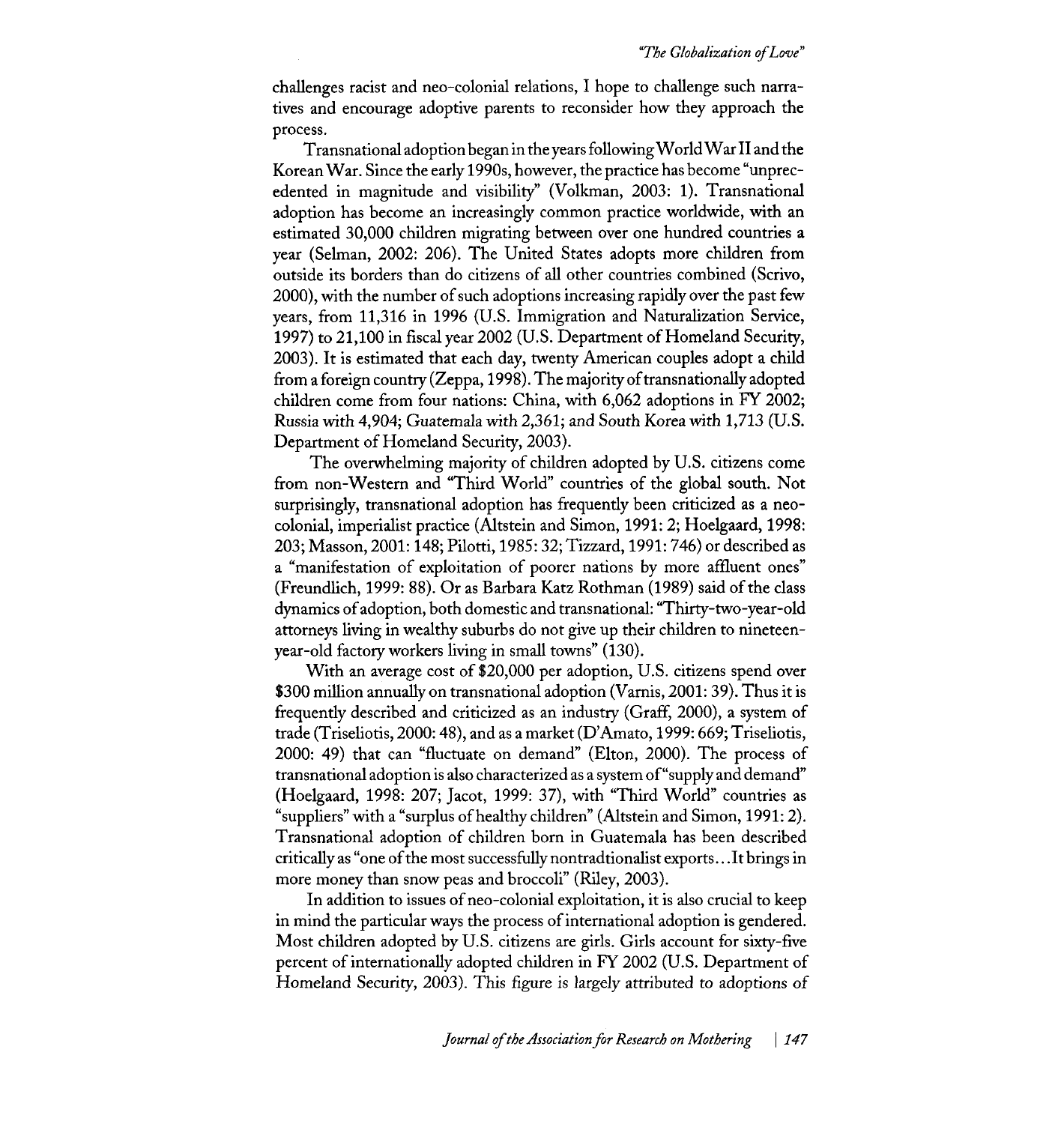challenges racist and neo-colonial relations, I hope to challenge such narratives and encourage adoptive parents to reconsider how they approach the process.

Transnational adoption began in the years following World War11 and the Korean War. Since the early 1990s, however, the practice has become "unprecedented in magnitude and visibility" (Volkman, 2003: 1). Transnational adoption has become an increasingly common practice worldwide, with an estimated 30,000 children migrating between over one hundred countries a year (Selman, 2002: 206). The United States adopts more children from outside its borders than do citizens of all other countries combined (Scrivo, 2000), with the number of such adoptions increasing rapidly over the past few years, from 11,316 in 1996 (U.S. Immigration and Naturalization Service, 1997) to 21,100 in fiscal year 2002 (U.S. Department of Homeland Security, 2003). It is estimated that each day, twenty American couples adopt a child from a foreign country (Zeppa, 1998). The majority of transnationally adopted children come from four nations: China, with 6,062 adoptions in FY 2002; Russia with 4,904; Guatemala with 2,361; and South Korea with 1,713 (U.S. Department of Homeland Security, 2003).

The overwhelming majority of children adopted by U.S. citizens come from non-Western and "Third World" countries of the global south. Not surprisingly, transnational adoption has frequently been criticized as a neocolonial, imperialist practice (Altstein and Simon, 1991: 2; Hoelgaard, 1998: 203; Masson, 2001: 148; Pilotti, 1985: 32; Tizzard, 1991: 746) or described as a "manifestation of exploitation of poorer nations by more affluent ones" (Freundlich, 1999: 88). Or as Barbara Katz Rothman (1989) said of the class dynamics of adoption, both domestic and transnational: "Thirty-two-year-old attorneys living in wealthy suburbs do not give up their children to nineteenyear-old factory workers living in small towns" (130).

With an average cost of \$20,000 per adoption, U.S. citizens spend over \$300 million annually on transnational adoption (Varnis, 2001: 39). Thus it is frequently described and criticized as an industry (Graff, 2000), a system of trade (Triseliotis, 2000: 48), and as a market (D'Amato, 1999: 669; Triseliotis, 2000: 49) that can "fluctuate on demand" (Elton, 2000). The process of transnational adoption is also characterized as a system of "supply and demand" (Hoelgaard, 1998: 207; Jacot, 1999: 37), with "Third World" countries as "suppliers" with a "surplus of healthy children" (Altstein and Simon, 1991: 2). Transnational adoption of children born in Guatemala has been described critically as "one of the most successfully nontradtionalist exports.. .It brings in more money than snow peas and broccoli" (Riley, 2003).

In addition to issues of neo-colonial exploitation, it is also crucial to keep in mind the particular ways the process of international adoption is gendered. Most children adopted by U.S. citizens are girls. Girls account for sixty-five percent of internationally adopted children in EY 2002 (U.S. Department of Homeland Security, 2003). This figure is largely attributed to adoptions of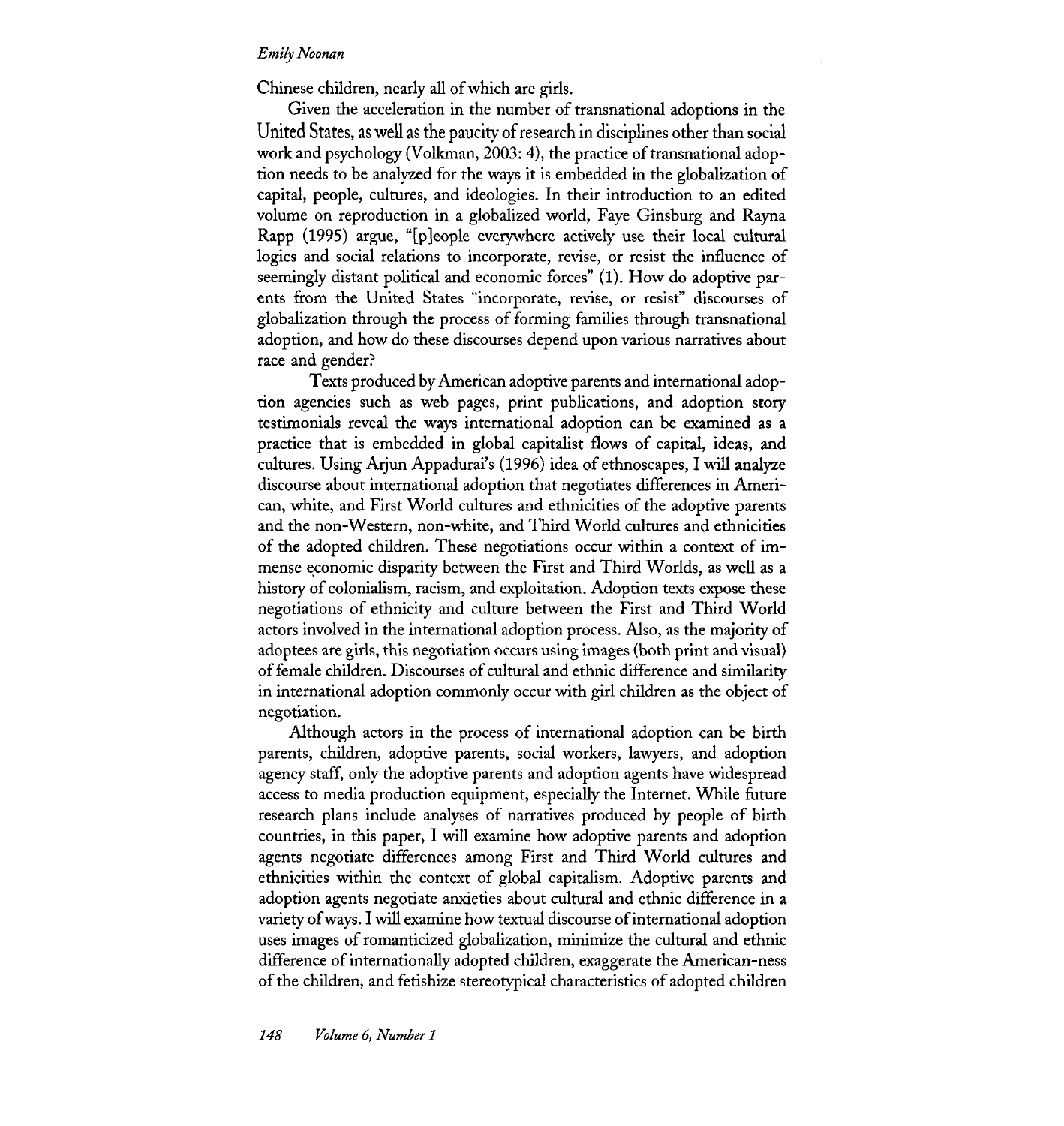Chinese children, nearly all ofwhich are girls.

Given the acceleration in the number of transnational adoptions in the United States, as well as the paucity of research in disciplines other than social work and psychology (Volkman, 2003: 4), the practice of transnational adoption needs to be analyzed for the ways it is embedded in the globalization of capital, people, cultures, and ideologies. In their introduction to an edited volume on reproduction in a globdized world, Faye Ginsburg and Rayna Rapp (1995) argue, "[pleople everywhere actively use their local cultural logics and social relations to incorporate, revise, or resist the influence of seemingly distant political and economic forces" (1). How do adoptive parents from the United States "incorporate, revise, or resist" discourses of globalization through the process of forming families through transnational adoption, and how do these discourses depend upon various narratives about race and gender?

Texts produced by American adoptive parents and international adoption agencies such as web pages, print publications, and adoption story testimonials reveal the ways international adoption can be examined as a practice that is embedded in global capitalist flows of capital, ideas, and cultures. Using Arjun Appadurai's (1996) idea of ethnoscapes, I will analyze discourse about international adoption that negotiates differences in American, white, and First World cultures and ethnicities of the adoptive parents and the non-Western, non-white, and Third World cultures and ethnicities of the adopted children. These negotiations occur within a context of immense economic disparity between the First and Third Worlds, as well as a history of colonialism, racism, and exploitation. Adoption texts expose these negotiations of ethnicity and culture between the First and Third World actors involved in the international adoption process. Also, as the majority of adoptees are girls, this negotiation occurs using images (both print and visual) of female children. Discourses of cultural and ethnic difference and similarity in international adoption commonly occur with girl children as the object of negotiation.

Although actors in the process of international adoption can be birth parents, children, adoptive parents, social workers, lawyers, and adoption agency staff, only the adoptive parents and adoption agents have widespread access to media production equipment, especially the Internet. While future research plans include analyses of narratives produced by people of birth countries, in this paper, I will examine how adoptive parents and adoption agents negotiate differences among First and Third World cultures and ethnicities within the context of global capitalism. Adoptive parents and adoption agents negotiate anxieties about cultural and ethnic difference in a variety ofways. I will examine how textual discourse of international adoption uses images of romanticized globalization, minimize the cultural and ethnic difference of internationally adopted children, exaggerate the American-ness of the children, and fetishize stereotypical characteristics of adopted children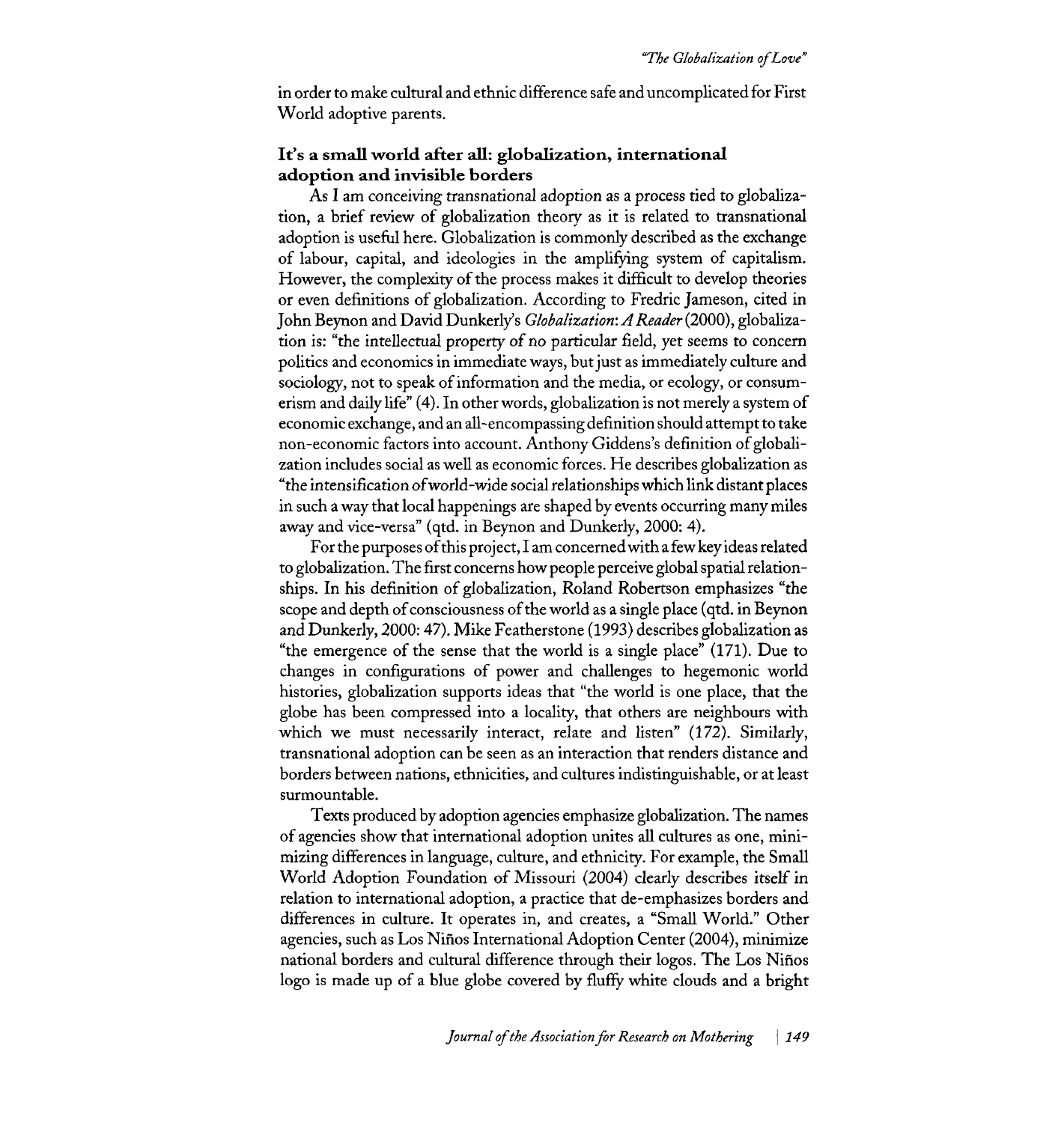in order to make cultural and ethnic difference safe and uncomplicated for First World adoptive parents.

# **It's a small world after all: globalization, international adoption and invisible borders**

As **I** am conceiving transnational adoption as a process tied to globalization, a brief review of globdization theory as it is related to transnational adoption is useful here. Globalization is commonly described as the exchange of labour, capital, and ideologies in the amplifying system of capitalism. However, the complexity of the process makes it difficult to develop theories or even definitions of globalization. According to Fredric Jameson, cited in John Beynon and David Dunkerly's *Globalization:* A *Reader* (2000), globdization is: "the intellectual property of no particular field, yet seems to concern politics and economics in immediate ways, but just as immediately culture and sociology, not to speak of information and the media, or ecology, or consumerism and daily life" (4). In other words, globalization is not merely a system of economic exchange, and an all-encompassing definition should attempt to take non-economic factors into account. Anthony Giddens's definition of globalization includes social as well as economic forces. He describes globalization as "the intensification ofworld-wide social relationships which link distant places in such a way that local happenings are shaped by events occurring many miles away and vice-versa" (qtd. in Beynon and Dunkerly, 2000: 4).

For the purposes ofthis project, I am concerned with a few key ideas related to globalization. The first concerns how people perceive global spatial relationships. In his definition of globalization, Roland Robertson emphasizes "the scope and depth of consciousness of the world as a single place (qtd. in Beynon and Dunkerly, 2000: 47). Mike Featherstone (1993) describes globalization as "the emergence of the sense that the world is a single place"  $(171)$ . Due to changes in configurations of power and challenges to hegemonic world histories, globalization supports ideas that "the world is one place, that the globe has been compressed into a locality, that others are neighbours with which we must necessarily interact, relate and listen" (172). Similarly, transnational adoption can be seen as an interaction that renders distance and borders between nations, ethnicities, and cultures indistinguishable, or at least surmountable.

Texts produced by adoption agencies emphasize globalization. The names of agencies show that international adoption unites **all** cultures as one, minimizing differences in language, culture, and ethnicity. For example, the Small World Adoption Foundation of Missouri (2004) clearly describes itself in relation to international adoption, a practice that de-emphasizes borders and differences in culture. It operates in, and creates, a "Small World." Other agencies, such as Los Nifios International Adoption Center (2004), minimize national borders and cultural difference through their logos. The Los Nifios logo is made up of a blue globe covered by fluffy white clouds and a bright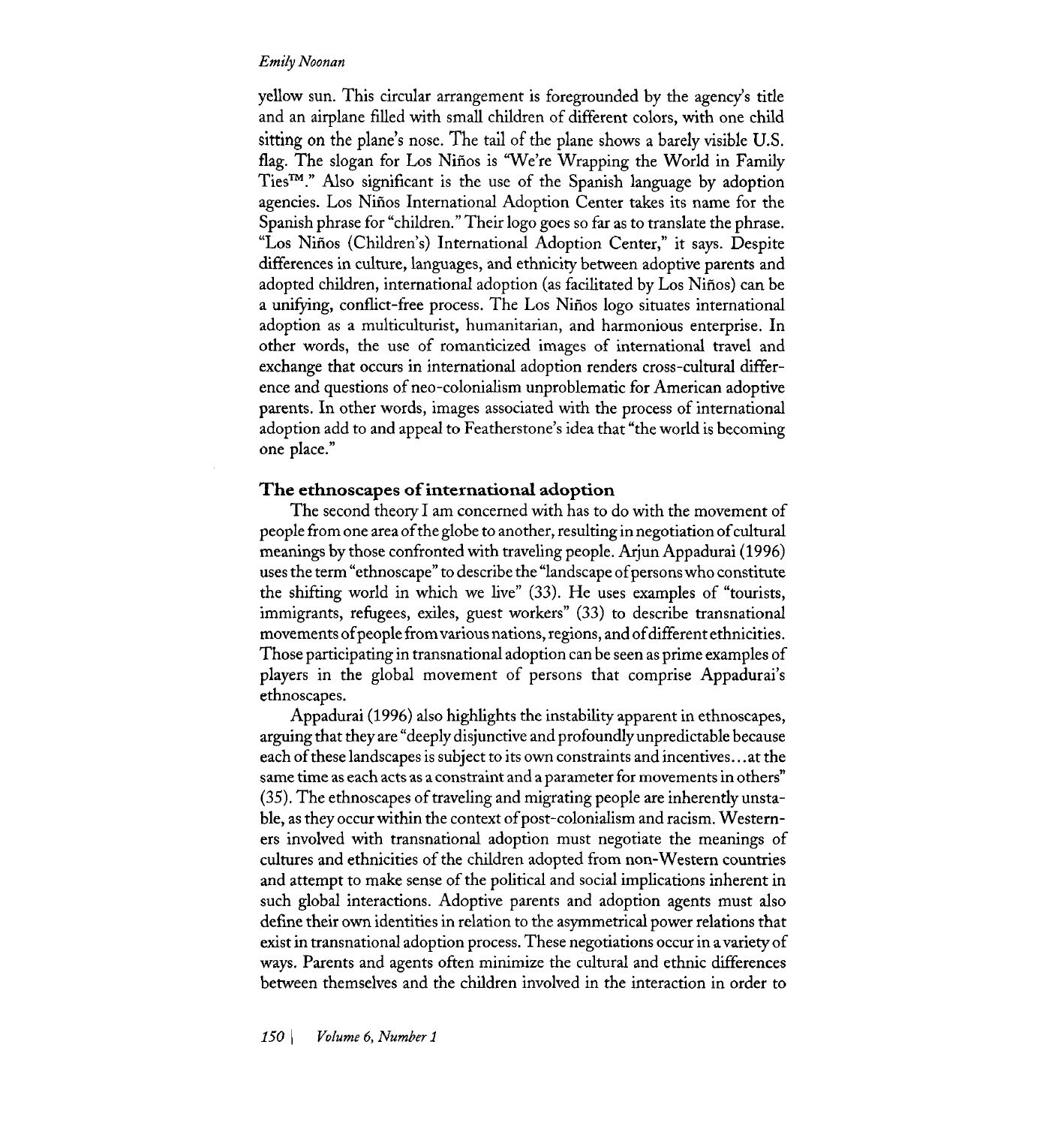yellow sun. This circular arrangement is foregrounded by the agency's title and an airplane filled with small children of different colors, with one child sitting on the plane's nose. The tail of the plane shows a barely visible U.S. flag. The slogan for Los Niños is "We're Wrapping the World in Family TiesTM." Also significant is the use of the Spanish language by adoption agencies. Los Nifios International Adoption Center takes its name for the Spanish phrase for "children." Their logo goes so far as to translate the phrase. "Los Niños (Children's) International Adoption Center," it says. Despite differences in culture, languages, and ethnicity between adoptive parents and adopted children, international adoption (as facilitated by Los Niños) can be a unifying, conflict-free process. The Los Niños logo situates international adoption as a multiculturist, humanitarian, and harmonious enterprise. In other words, the use of romanticized images of international travel and exchange that occurs in international adoption renders cross-cultural difference and questions of neo-colonialism unproblematic for American adoptive parents. In other words, images associated with the process of international adoption add to and appeal to Featherstone's idea that "the world is becoming one place."

## **The ethnoscapes of international adoption**

The second theory I am concerned with has to do with the movement of people from one area of the globe to another, resulting in negotiation of cultural meanings by those confronted with traveling people. Arjun Appadurai (1996) uses the term "ethnoscape" to describe the "landscape of persons who constitute the shifting world in which we live" (33). He uses examples of "tourists, immigrants, refugees, exiles, guest workers" (33) to describe transnational movements of people from various nations, regions, and of different ethnicities. Those participating in transnational adoption can be seen as prime examples of players in the global movement of persons that comprise Appadurai's ethnoscapes.

Appadurai (1996) also highlights the instability apparent in ethnoscapes, arguing that they are "deeply disjunctive and profoundly unpredictable because each of these landscapes is subject to its own constraints and incentives.. .at the same time as each acts as a constraint and a parameter for movements in others" (35). The ethnoscapes of traveling and migrating people are inherently unstable, as they occur within the context of post-colonialism and racism. Westerners involved with transnational adoption must negotiate the meanings of cultures and ethnicities of the children adopted from non-Western countries and attempt to make sense of the political and social implications inherent in such global interactions. Adoptive parents and adoption agents must also define their own identities in relation to the asymmetrical power relations that exist in transnational adoption process. These negotiations occur in avariety of ways. Parents and agents often minimize the cultural and ethnic differences between themselves and the children involved in the interaction in order to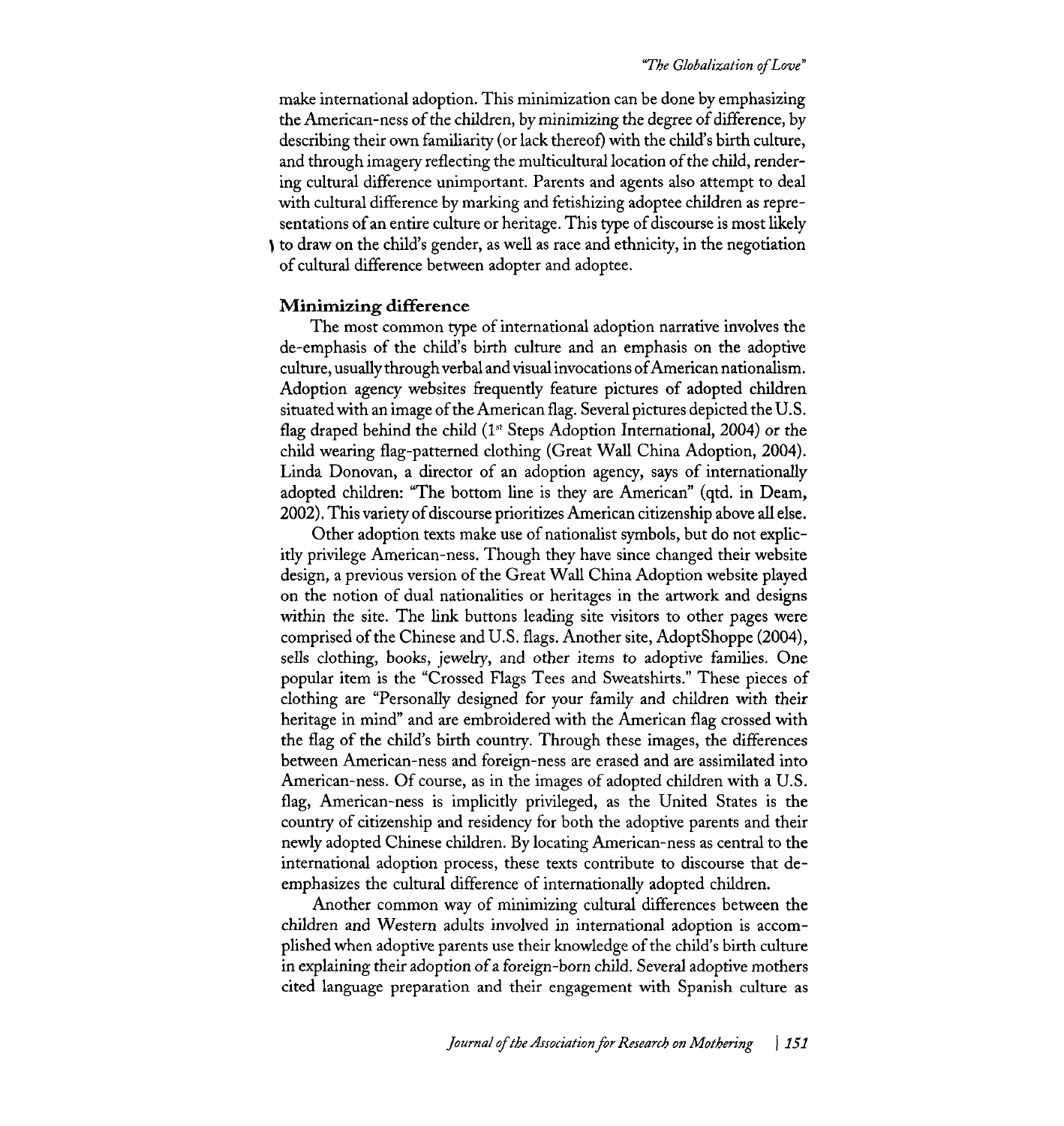### *"The Globalization of Love"*

make international adoption. This minimization can be done by emphasizing the American-ness of the children, by minimizing the degree of difference, by describing their own familiarity (or lack thereof) with the child's birth culture, and through imagery reflecting the multicultural location of the child, rendering cultural difference unimportant. Parents and agents also attempt to deal with cultural difference by marking and fetishizing adoptee children as representations of an entire culture or heritage. This type of discourse is most likely \ to draw on the child's gender, as well as race and ethnicity, in the negotiation of cultural difference between adopter and adoptee.

### **Minimizing difference**

The most common type of international adoption narrative involves the de-emphasis of the child's birth culture and an emphasis on the adoptive culture, usually through verbal and visual invocations ofAmerican nationalism. Adoption agency websites frequently feature pictures of adopted chiidren situatedwith an image of the American flag. Several pictures depicted the U.S. flag draped behind the child  $(1^{st}$  Steps Adoption International, 2004) or the child wearing flag-patterned clothing (Great Wall China Adoption, 2004). Linda Donovan, a director of an adoption agency, says of internationally adopted chiidren: "The bottom line is they are American" (qtd. in Deam, 2002). This variety of discourse prioritizes American citizenship above all else.

Other adoption texts make use of nationalist symbols, but do not explicitly privilege American-ness. Though they have since changed their website design, a previous version of the Great Wall China Adoption website played on the notion of dual nationalities or heritages in the artwork and designs within the site. The link buttons leading site visitors to other pages were comprised of the Chinese and U.S. flags. Another site, AdoptShoppe (2004), sells clothing, books, jewelry, and other items to adoptive families. One popular item is the "Crossed Flags Tees and Sweatshirts." These pieces of clothing are "Personally designed for your family and children with their heritage in mind" and are embroidered with the American flag crossed with the flag of the child's birth country. Through these images, the differences between American-ness and foreign-ness are erased and are assimilated into American-ness. Of course, as in the images of adopted children with a U.S. flag, American-ness is implicitly privileged, as the United States is the country of citizenship and residency for both the adoptive parents and their newly adopted Chinese children. By locating American-ness as central to the international adoption process, these texts contribute to discourse that deemphasizes the cultural difference of internationally adopted children.

Another common way of minimizing cultural differences between the children and Western adults involved in international adoption is accomplished when adoptive parents use their knowledge of the child's birth culture in explaining their adoption of a foreign-born child. Several adoptive mothers cited language preparation and their engagement with Spanish culture as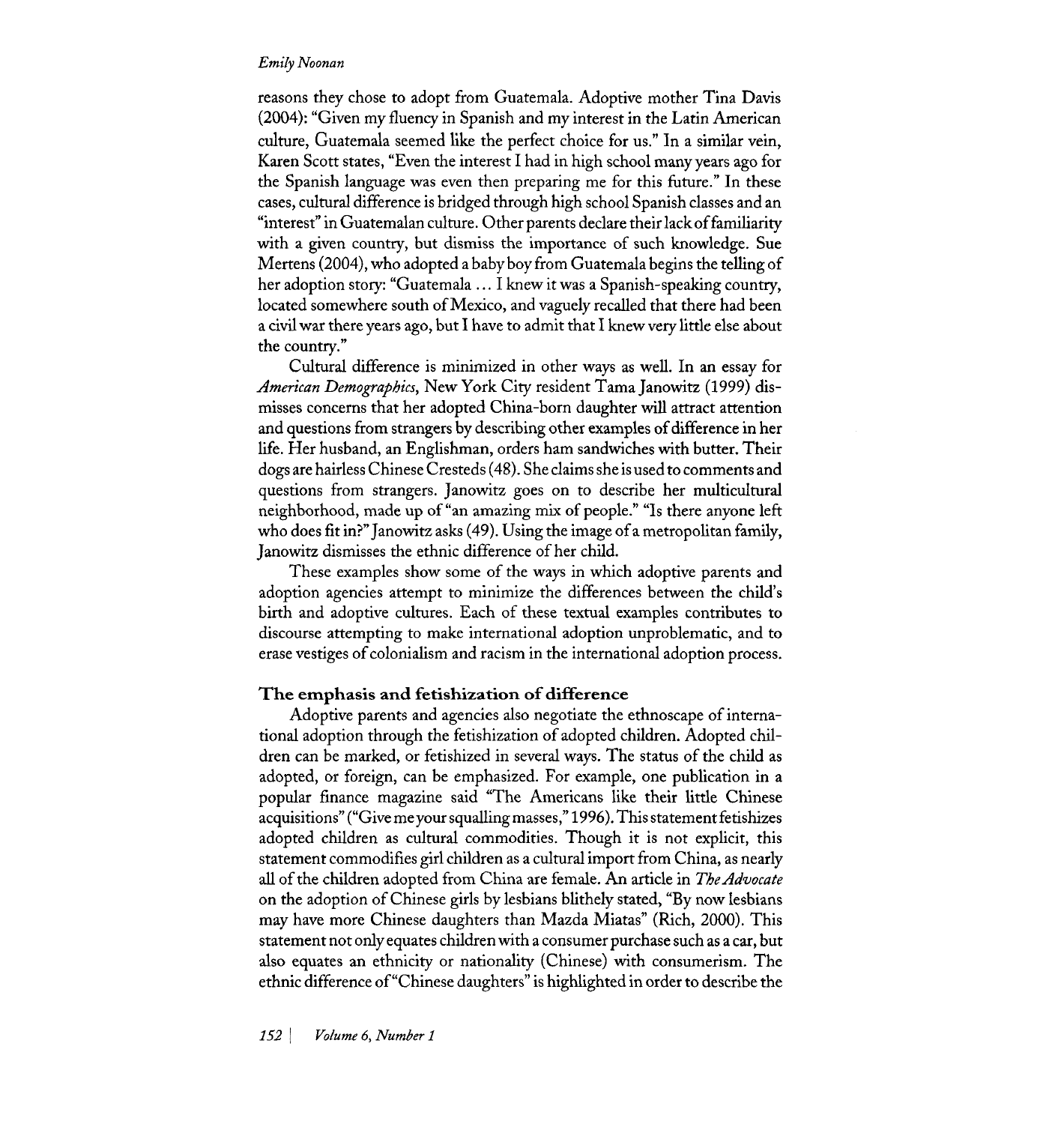reasons they chose to adopt from Guatemala. Adoptive mother Tina Davis (2004): "Given my fluency in Spanish and my interest in the Latin American culture, Guatemala seemed like the perfect choice for us." In a similar vein, Karen Scott states, "Even the interest I had in high school many years ago for the Spanish language was even then preparing me for this future." In these cases, cultural difference is bridged through high school Spanish classes and an "interest" in Guatemalan culture. Other parents declare their lack of familiarity with a given country, but dismiss the importance of such knowledge. Sue Mertens (2004), who adopted a baby boy from Guatemala begins the telling of her adoption story: "Guatemala ... I knew it was a Spanish-speaking country, located somewhere south of Mexico, and vaguely recalled that there had been a civil war there years ago, but I have to admit that I knew very little else about the country."

Cultural difference is minimized in other ways as well. In an essay for American Demographics, New York City resident Tama Janowitz (1999) dismisses concerns that her adopted China-born daughter will attract attention and questions from strangers by describing other examples of difference in her life. Her husband, an Englishman, orders ham sandwiches with butter. Their dogs are hairless Chinese Cresteds (48). She claims she is used to comments and questions from strangers. Janowitz goes on to describe her multicultural neighborhood, made up of "an amazing mix of people." "Is there anyone left who does fit in?" Janowitz asks (49). Using the image of a metropolitan family, Janowitz dismisses the ethnic difference of her child.

These examples show some of the ways in which adoptive parents and adoption agencies attempt to minimize the differences between the child's birth and adoptive cultures. Each of these textual examples contributes to discourse attempting to make international adoption unproblematic, and to erase vestiges of colonialism and racism in the international adoption process.

# **The emphasis and fetishization of &fference**

Adoptive parents and agencies also negotiate the ethnoscape of international adoption through the fetishization of adopted children. Adopted children can be marked, or fetishized in several ways. The status of the child as adopted, or foreign, can be emphasized. For example, one publication in a popular finance magazine said "The Americans like their little Chinese acquisitions" ("Give me your squalling masses," 1996). This statement fetishizes adopted children as cultural commodities. Though it is not explicit, this statement commodifies girl children as a cultural import from China, as nearly all of the children adopted from China are female. An article in The Advocate on the adoption of Chinese girls by lesbians blithely stated, "By now lesbians may have more Chinese daughters than Mazda Miatas" (Rich, 2000). This statement not onlyequates childrenwith a consumer purchase such as a car, but also equates an ethnicity or nationality (Chinese) with consumerism. The ethnic difference of "Chinese daughters" is highlighted in order to describe the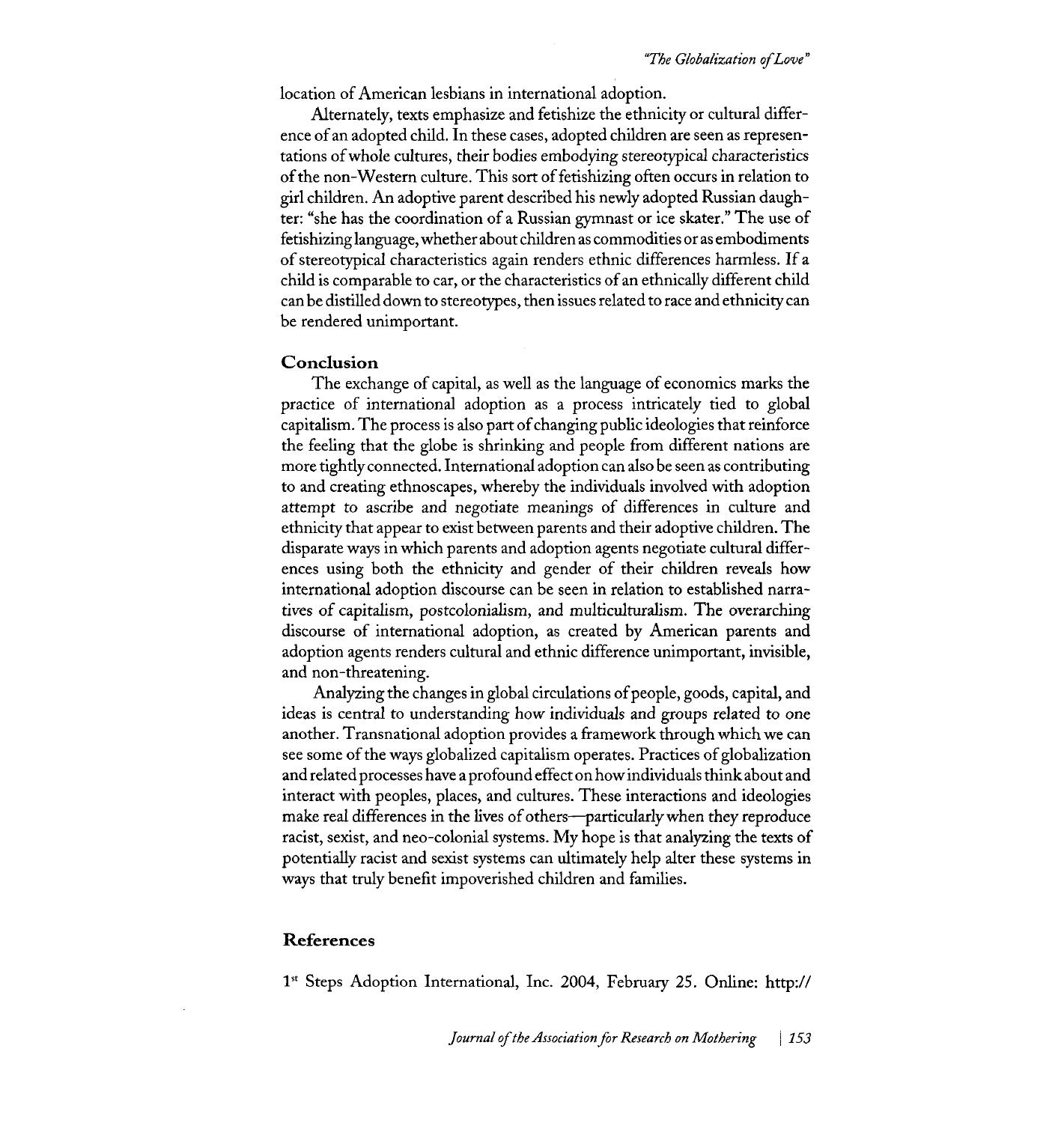location of American lesbians in international adoption.

Alternately, texts emphasize and fetishize the ethnicity or cultural difference of an adopted child. In these cases, adopted chidren are seen as representations of whole cultures, their bodies embodying stereotypical characteristics of the non-Western culture. This sort of fetishizing often occurs in relation to girl children. An adoptive parent described his newly adopted Russian daughter: "she has the coordination of a Russian gymnast or ice skater." The use of fetishizing language, whether about chidren as commodities or as embodiments of stereotypical characteristics again renders ethnic differences harmless. If a child is comparable to car, or the characteristics of an ethnically different child can be distilled down to stereotypes, then issues related to race and ethnicity can be rendered unimportant.

#### **Conclusion**

The exchange of capital, as well as the language of economics marks the practice of international adoption as a process intricately tied to global capitalism. The process is also part of changing public ideologies that reinforce the feeling that the globe is shrinking and people from different nations are more tightly connected. International adoption can also be seen as contributing to and creating ethnoscapes, whereby the individuals involved with adoption attempt to ascribe and negotiate meanings of differences in culture and ethnicity that appear to exist between parents and their adoptive children. The disparate ways in which parents and adoption agents negotiate cultural differences using both the ethnicity and gender of their children reveals how international adoption discourse can be seen in relation to established narratives of capitalism, postcolonialism, and multiculturalism. The overarching discourse of international adoption, as created by American parents and adoption agents renders cultural and ethnic difference unimportant, invisible, and non-threatening.

Analyzing the changes in global circulations of people, goods, capital, and ideas is central to understanding how individuals and groups related to one another. Transnational adoption provides a framework through which we can see some of the ways globalized capitalism operates. Practices of globalization and related processes have a profound effect on how individuals thinkabout and interact with peoples, places, and cultures. These interactions and ideologies make real differences in the lives of others--particularly when they reproduce racist, sexist, and neo-colonial systems. My hope is that analyzing the texts of potentially racist and sexist systems can ultimately help alter these systems in ways that truly benefit impoverished children and families.

## **References**

lst Steps Adoption International, Inc. 2004, February 25. Online: http://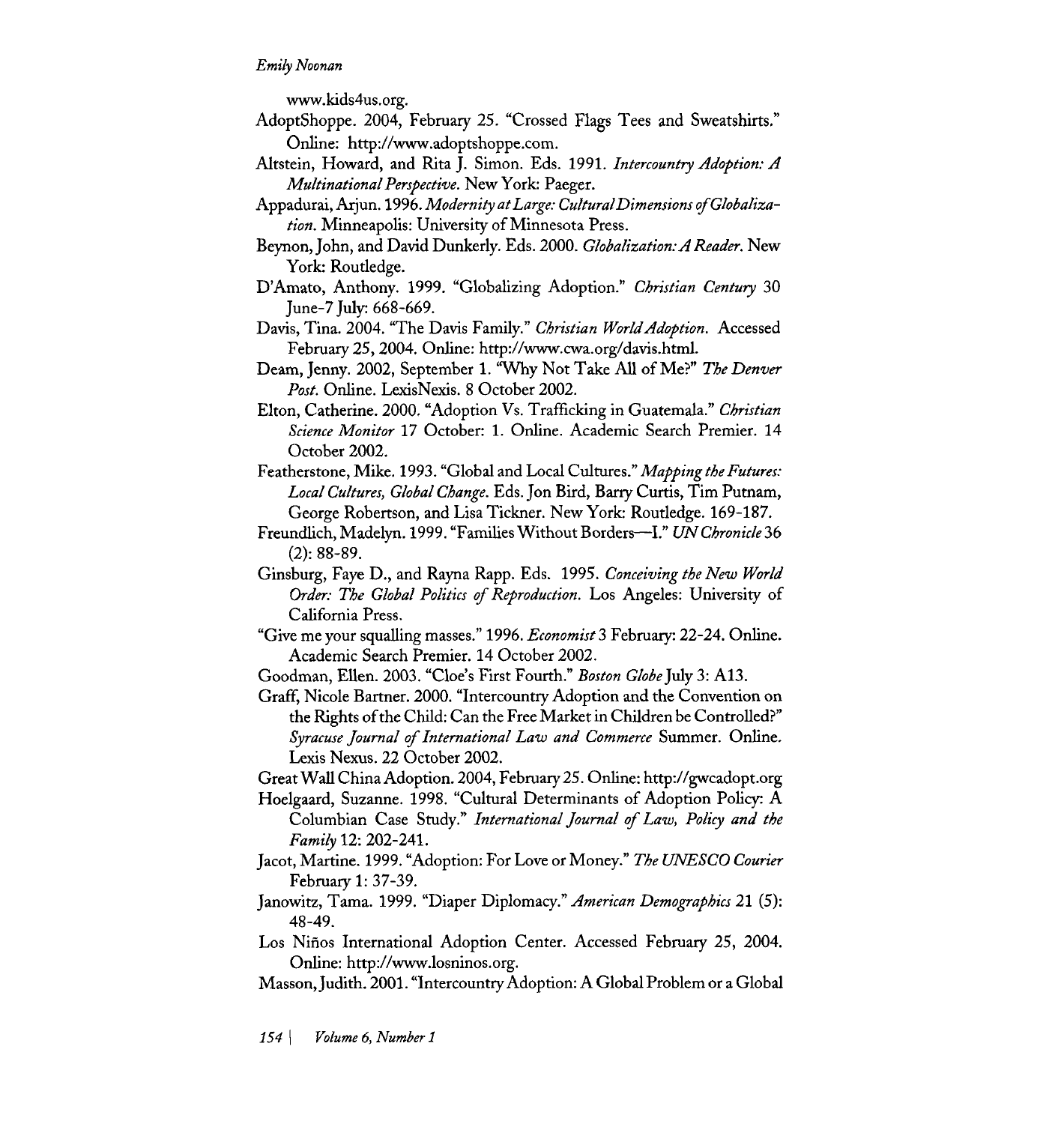www.kids4us.org.

- AdoptShoppe. 2004, February 25. "Crossed Flags Tees and Sweatshirts." Online: http://www.adoptshoppe.com.
- Altstein, Howard, and Rita J. Simon. Eds. 1991. *Intercounty Adoption: A Multinational Perspective.* New York: Paeger.
- Appadurai, Arjun. 1996. *Modernity at Large: CulturalDimensions of Globalization.* Minneapolis: University of Minnesota Press.
- Beynon, John, and David Dunkerly. Eds. 2000. *Globalization:A Reader.* New York: Routledge.
- D'Amato, Anthony. 1999. "Globalizing Adoption." *Christian Century* 30 June-7 July: 668-669.
- Davis, Tina. 2004. "The Davis Family." *Christian WorldAdoption.* Accessed February 25,2004. Online: http://www.cwa.org/davis.html.
- Deam, Jenny. 2002, September 1. 'Why Not Take AU of Me?" *The Denver Post.* Online. LexisNexis. 8 October 2002.
- Elton, Catherine. 2000. "Adoption Vs. Trafficking in Guatemala." *Christian Science Monitor* 17 October: 1. Online. Academic Search Premier. 14 October 2002.
- Featherstone, Mike. 1993. "Global and Local Cultures." *Mapping the Futures: Local Cultures, Global Change.* Eds. Jon Bird, Bany Curtis, Tim Putnam, George Robertson, and Lisa Tickner. New York: Routledge. 169-187.
- Freundlich, Madelyn. 1999. "Families Without Borders-I." *UN Chronicle* 36 (2): 88-89.
- Ginsburg, Faye D., and Rayna Rapp. Eds. 1995. *Conceiving the New World Order: The Global Politics of Reproduction.* Los Angeles: University of California Press.
- "Give me your squalling masses." 1996. *Economist* 3 February: 22-24. Online. Academic Search Premier. 14 October 2002.
- Goodman, Ellen. 2003. "Cloe's First Fourth." *Boston Globe* July 3: A13.
- Graff, Nicole Bartner. 2000. "Intercountry Adoption and the Convention on the Rights ofthe Child: Can the Free Market in Children be Controlled?" *Syracuse Journal* of *International Law and Commerce* Summer. Online. Lexis Nexus. 22 October 2002.
- Great Wall China Adoption. 2004, February25. Online: http://gwcadopt.org
- Hoelgaard, Suzanne. 1998. "Cultural Determinants of Adoption Policy: A Columbian Case Study." *International Journal* of *Law, Policy and the Family* 12: 202-241.
- Jacot, Martine. 1999. "Adoption: For Love or Money." *The UNESCO Courier*  February 1: 37-39.
- Janowitz, Tama. 1999. "Diaper Diplomacy." *American Demographics* 21 (5): 48-49.
- Los Nifios International Adoption Center. Accessed February 25, 2004. Online: http://www.losninos.org.
- Masson, Judith. 2001. "Intercountry Adoption: A Global Problem or a Global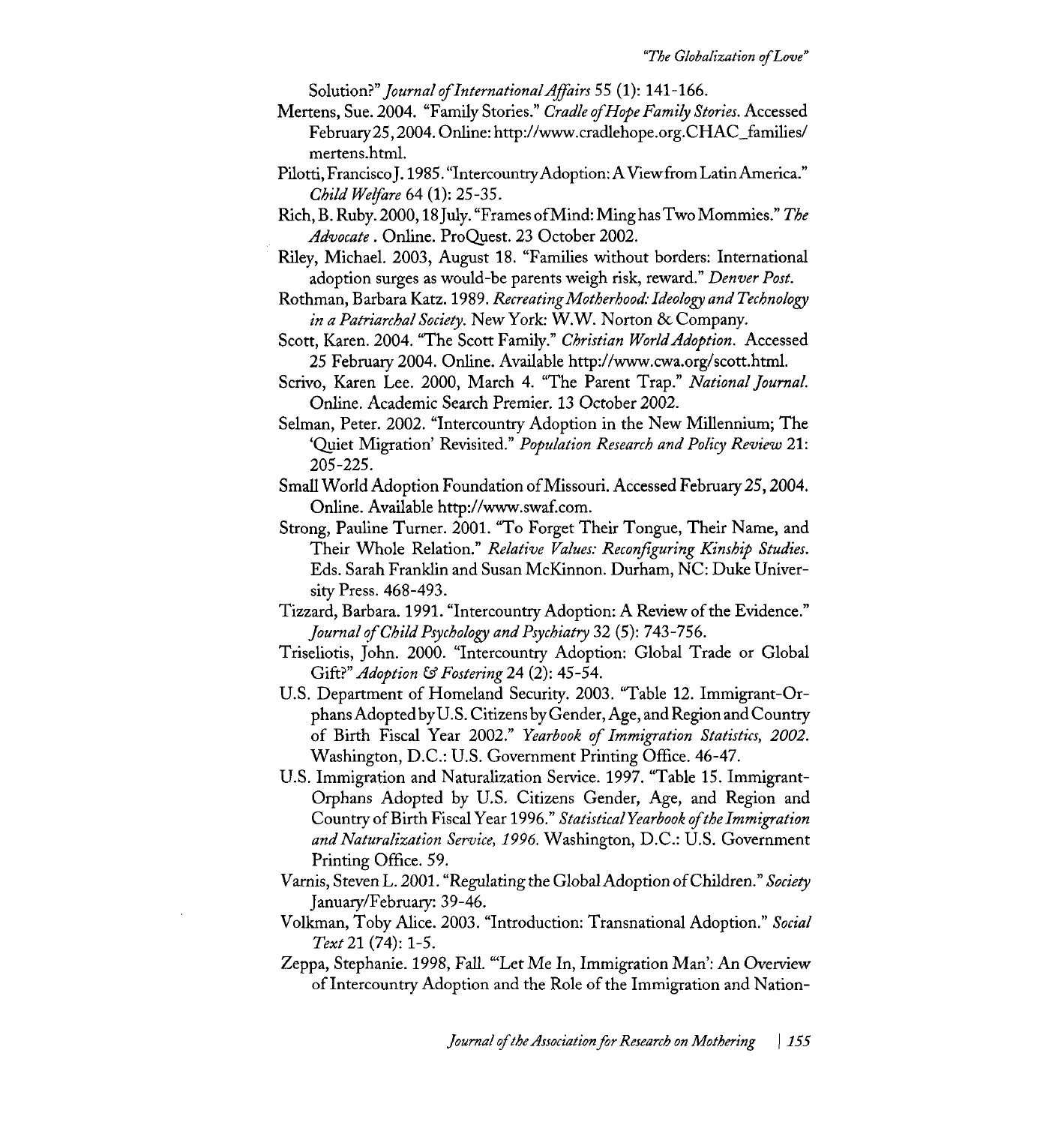Solution?" *Journal ofInternationalAfairs* 55 (1): 141-166.

- Mertens, Sue. 2004. "Family Stories." *Cradle of Hope Family Stories*. Accessed February 25, 2004. Online: http://www.cradlehope.org.CHAC\_families/ mertens.htm1.
- Piotti, Francisco J. 1985. "Intercountry Adoption: AView from Latin America." *Child Welfare* 64 (1): 25-35.
- Rich, B. Ruby. 2000,18 July. "Frames ofMind: Ming has Two Mommies." *The Advocate.* Online. ProQuest. 23 October 2002.
- Riley, Michael. 2003, August 18. "Families without borders: International adoption surges as would-be parents weigh risk, reward." *Denver Post.*
- Rothman, Barbara Katz. 1989. *Recreating Motherhood: Ideology and Technology in a Patriarchal Society.* New York: W. W. Norton & Company.
- Scott, Karen. 2004. "The Scott Family." *Christian WorldAdoption.* Accessed 25 February 2004. Online. Available http://www.cwa.org/scott.html.
- Scrivo, Karen Lee. 2000, March 4. "The Parent Trap." *National Journal.*  Online. Academic Search Premier. 13 October 2002.
- Selman, Peter. 2002. "Intercountry Adoption in the New Millennium; The 'Quiet Migration' Revisited." *Population Research and Policy Review* 21: 205-225.
- Small World Adoption Foundation of Missouri. Accessed February 25, 2004. Online. Available http://www.swaf.com.
- Strong, Padine Turner. 2001. 'To Forget Their Tongue, Their Name, and Their Whole Relation." *Relative Values: Reconjguring Kinship Studies.*  Eds. Sarah Franklin and Susan McKinnon. Durham, NC: Duke University Press. 468-493.
- Tizzard, Barbara. 1991. "Intercountry Adoption: A Review of the Evidence." *Journal ofchild Psychology and Psychiatry* 32 (5): 743-756.
- Triseliotis, John. 2000. "Intercountry Adoption: Global Trade or Global Gift?" *Adoption &Fostering* 24 (2): 45-54.
- U.S. Department of Homeland Security. 2003. "Table 12. Immigrant-Orphans Ad0ptedbyU.S. Citizens by Gender, Age, and Region and Country of Birth Fiscal Year 2002." *Yearbook* of *Immigration Statistics,* 2002. Washington, D.C.: U.S. Government Printing Office. 46-47.
- U.S. Immigration and Naturalization Service. 1997. ''Table 15. Immigrant-Orphans Adopted by U.S. Citizens Gender, Age, and Region and Country of Birth Fiscal Year 1996." *StatisticalYearbook of the Immigration and Naturalization Service, 1996.* Washington, D.C.: U.S. Government Printing Office. 59.
- Varnis, Steven L. 2001. "Regulating the Global Adoption of Children." *Society*  January/February: 39-46.
- Volkrnan, Toby Alice. 2003. "Introduction: Transnational Adoption." *Social Text* 21 (74): 1-5.
- Zeppa, Stephanie. 1998, Fall. "'Let Me In, Immigration Man': An Overview of Intercountry Adoption and the Role of the Immigration and Nation-